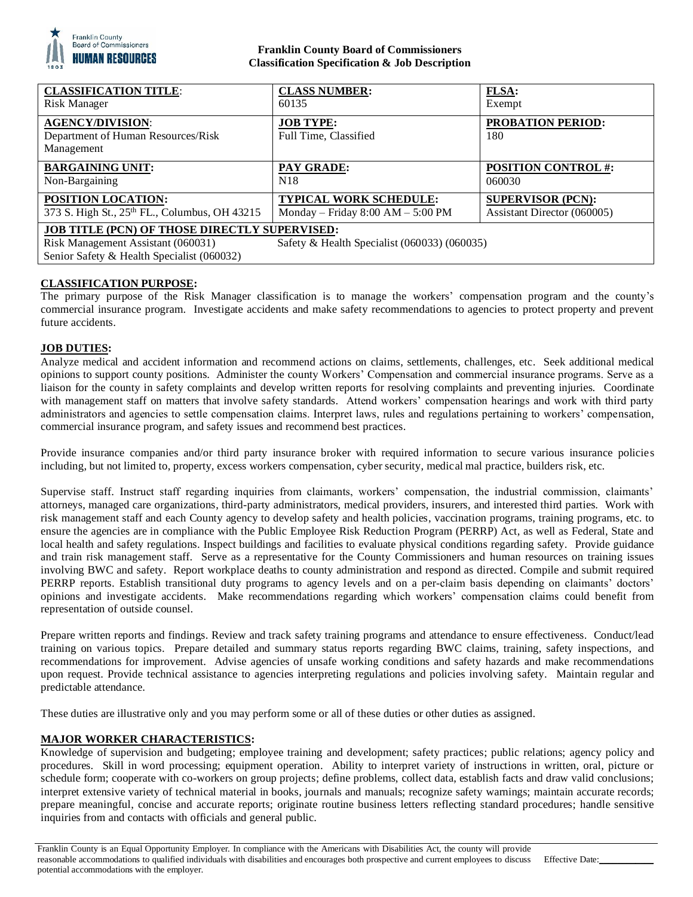

## **Franklin County Board of Commissioners Classification Specification & Job Description**

| <b>CLASSIFICATION TITLE:</b>                                                     | <b>CLASS NUMBER:</b>                         | FLSA:                           |
|----------------------------------------------------------------------------------|----------------------------------------------|---------------------------------|
| Risk Manager                                                                     | 60135                                        | Exempt                          |
| <b>AGENCY/DIVISION:</b><br>Department of Human Resources/Risk<br>Management      | <b>JOB TYPE:</b><br>Full Time, Classified    | <b>PROBATION PERIOD:</b><br>180 |
| <b>BARGAINING UNIT:</b>                                                          | <b>PAY GRADE:</b>                            | <b>POSITION CONTROL #:</b>      |
| Non-Bargaining                                                                   | N <sub>18</sub>                              | 060030                          |
| POSITION LOCATION:                                                               | <b>TYPICAL WORK SCHEDULE:</b>                | <b>SUPERVISOR (PCN):</b>        |
| 373 S. High St., 25th FL., Columbus, OH 43215                                    | Monday – Friday $8:00$ AM – $5:00$ PM        | Assistant Director (060005)     |
| <b>JOB TITLE (PCN) OF THOSE DIRECTLY SUPERVISED:</b>                             |                                              |                                 |
| Risk Management Assistant (060031)<br>Senior Safety & Health Specialist (060032) | Safety & Health Specialist (060033) (060035) |                                 |

# **CLASSIFICATION PURPOSE:**

The primary purpose of the Risk Manager classification is to manage the workers' compensation program and the county's commercial insurance program. Investigate accidents and make safety recommendations to agencies to protect property and prevent future accidents.

## **JOB DUTIES:**

Analyze medical and accident information and recommend actions on claims, settlements, challenges, etc. Seek additional medical opinions to support county positions. Administer the county Workers' Compensation and commercial insurance programs. Serve as a liaison for the county in safety complaints and develop written reports for resolving complaints and preventing injuries. Coordinate with management staff on matters that involve safety standards. Attend workers' compensation hearings and work with third party administrators and agencies to settle compensation claims. Interpret laws, rules and regulations pertaining to workers' compensation, commercial insurance program, and safety issues and recommend best practices.

Provide insurance companies and/or third party insurance broker with required information to secure various insurance policies including, but not limited to, property, excess workers compensation, cyber security, medical mal practice, builders risk, etc.

Supervise staff. Instruct staff regarding inquiries from claimants, workers' compensation, the industrial commission, claimants' attorneys, managed care organizations, third-party administrators, medical providers, insurers, and interested third parties. Work with risk management staff and each County agency to develop safety and health policies, vaccination programs, training programs, etc. to ensure the agencies are in compliance with the Public Employee Risk Reduction Program (PERRP) Act, as well as Federal, State and local health and safety regulations. Inspect buildings and facilities to evaluate physical conditions regarding safety. Provide guidance and train risk management staff. Serve as a representative for the County Commissioners and human resources on training issues involving BWC and safety. Report workplace deaths to county administration and respond as directed. Compile and submit required PERRP reports. Establish transitional duty programs to agency levels and on a per-claim basis depending on claimants' doctors' opinions and investigate accidents. Make recommendations regarding which workers' compensation claims could benefit from representation of outside counsel.

Prepare written reports and findings. Review and track safety training programs and attendance to ensure effectiveness. Conduct/lead training on various topics. Prepare detailed and summary status reports regarding BWC claims, training, safety inspections, and recommendations for improvement. Advise agencies of unsafe working conditions and safety hazards and make recommendations upon request. Provide technical assistance to agencies interpreting regulations and policies involving safety. Maintain regular and predictable attendance.

These duties are illustrative only and you may perform some or all of these duties or other duties as assigned.

## **MAJOR WORKER CHARACTERISTICS:**

Knowledge of supervision and budgeting; employee training and development; safety practices; public relations; agency policy and procedures. Skill in word processing; equipment operation. Ability to interpret variety of instructions in written, oral, picture or schedule form; cooperate with co-workers on group projects; define problems, collect data, establish facts and draw valid conclusions; interpret extensive variety of technical material in books, journals and manuals; recognize safety warnings; maintain accurate records; prepare meaningful, concise and accurate reports; originate routine business letters reflecting standard procedures; handle sensitive inquiries from and contacts with officials and general public.